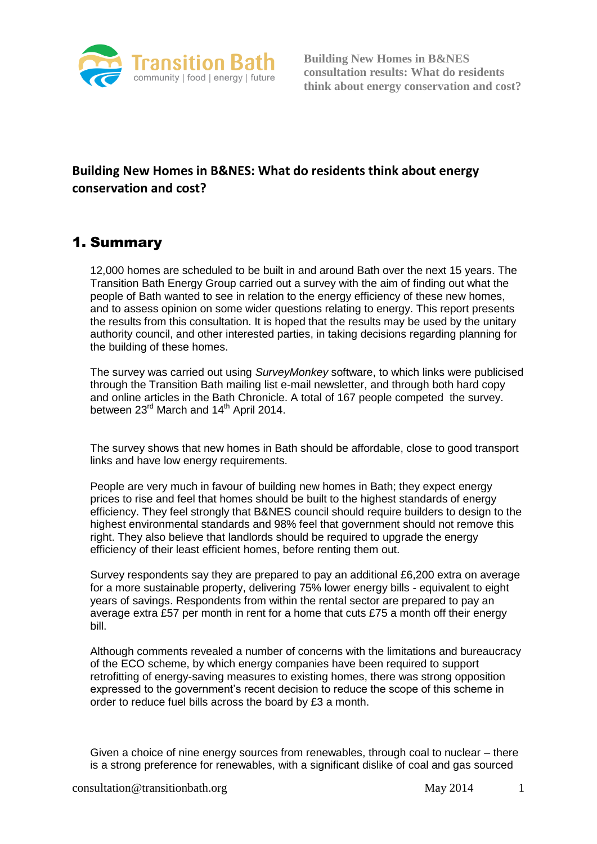

# **Building New Homes in B&NES: What do residents think about energy conservation and cost?**

# 1. Summary

12,000 homes are scheduled to be built in and around Bath over the next 15 years. The Transition Bath Energy Group carried out a survey with the aim of finding out what the people of Bath wanted to see in relation to the energy efficiency of these new homes, and to assess opinion on some wider questions relating to energy. This report presents the results from this consultation. It is hoped that the results may be used by the unitary authority council, and other interested parties, in taking decisions regarding planning for the building of these homes.

The survey was carried out using *SurveyMonkey* software, to which links were publicised through the Transition Bath mailing list e-mail newsletter, and through both hard copy and online articles in the Bath Chronicle. A total of 167 people competed the survey. between 23<sup>rd</sup> March and 14<sup>th</sup> April 2014.

The survey shows that new homes in Bath should be affordable, close to good transport links and have low energy requirements.

People are very much in favour of building new homes in Bath; they expect energy prices to rise and feel that homes should be built to the highest standards of energy efficiency. They feel strongly that B&NES council should require builders to design to the highest environmental standards and 98% feel that government should not remove this right. They also believe that landlords should be required to upgrade the energy efficiency of their least efficient homes, before renting them out.

Survey respondents say they are prepared to pay an additional £6,200 extra on average for a more sustainable property, delivering 75% lower energy bills - equivalent to eight years of savings. Respondents from within the rental sector are prepared to pay an average extra £57 per month in rent for a home that cuts £75 a month off their energy bill.

Although comments revealed a number of concerns with the limitations and bureaucracy of the ECO scheme, by which energy companies have been required to support retrofitting of energy-saving measures to existing homes, there was strong opposition expressed to the government's recent decision to reduce the scope of this scheme in order to reduce fuel bills across the board by £3 a month.

Given a choice of nine energy sources from renewables, through coal to nuclear – there is a strong preference for renewables, with a significant dislike of coal and gas sourced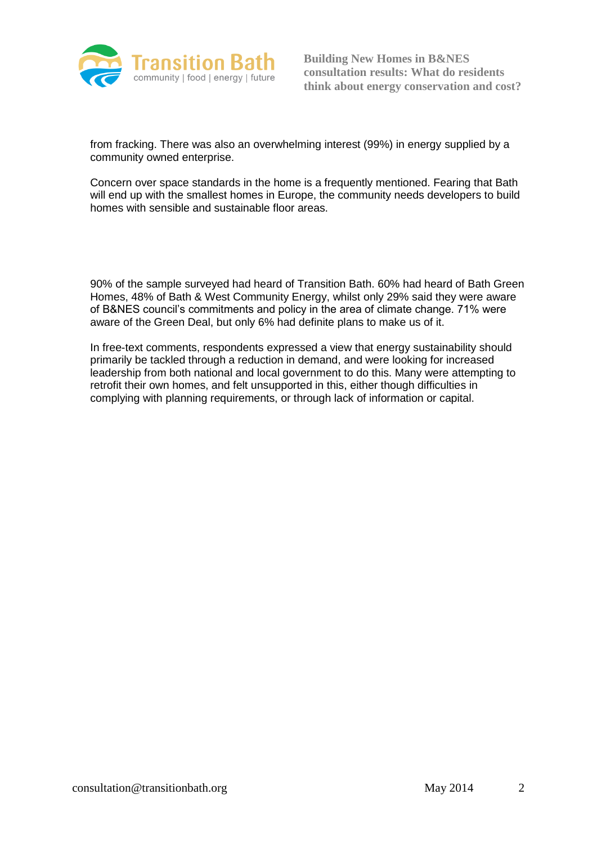

from fracking. There was also an overwhelming interest (99%) in energy supplied by a community owned enterprise.

Concern over space standards in the home is a frequently mentioned. Fearing that Bath will end up with the smallest homes in Europe, the community needs developers to build homes with sensible and sustainable floor areas.

90% of the sample surveyed had heard of Transition Bath. 60% had heard of Bath Green Homes, 48% of Bath & West Community Energy, whilst only 29% said they were aware of B&NES council's commitments and policy in the area of climate change. 71% were aware of the Green Deal, but only 6% had definite plans to make us of it.

In free-text comments, respondents expressed a view that energy sustainability should primarily be tackled through a reduction in demand, and were looking for increased leadership from both national and local government to do this. Many were attempting to retrofit their own homes, and felt unsupported in this, either though difficulties in complying with planning requirements, or through lack of information or capital.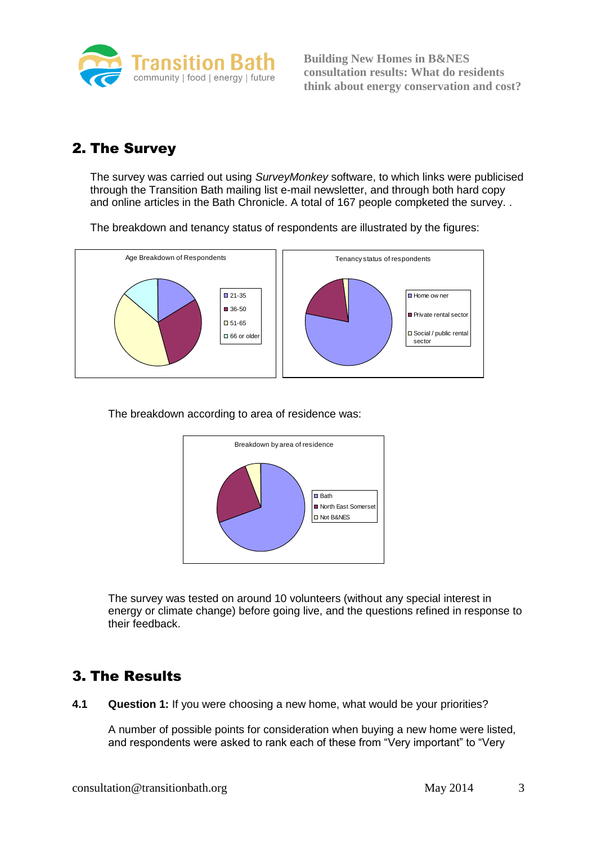

# 2. The Survey

The survey was carried out using *SurveyMonkey* software, to which links were publicised through the Transition Bath mailing list e-mail newsletter, and through both hard copy and online articles in the Bath Chronicle. A total of 167 people compketed the survey. .

The breakdown and tenancy status of respondents are illustrated by the figures:



The breakdown according to area of residence was:



The survey was tested on around 10 volunteers (without any special interest in energy or climate change) before going live, and the questions refined in response to their feedback.

# 3. The Results

**4.1 Question 1:** If you were choosing a new home, what would be your priorities?

A number of possible points for consideration when buying a new home were listed, and respondents were asked to rank each of these from "Very important" to "Very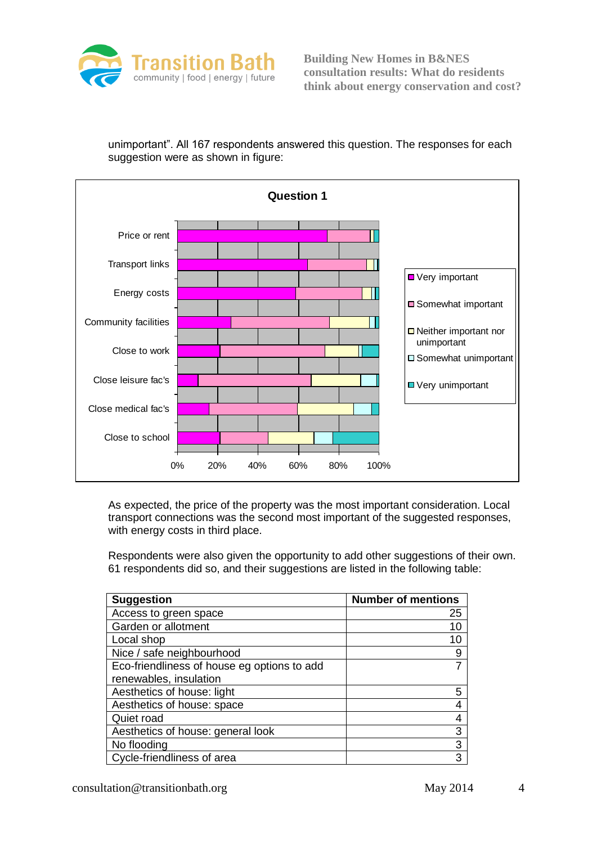

unimportant". All 167 respondents answered this question. The responses for each suggestion were as shown in figure:



As expected, the price of the property was the most important consideration. Local transport connections was the second most important of the suggested responses, with energy costs in third place.

Respondents were also given the opportunity to add other suggestions of their own. 61 respondents did so, and their suggestions are listed in the following table:

| <b>Suggestion</b>                           | <b>Number of mentions</b> |
|---------------------------------------------|---------------------------|
| Access to green space                       | 25                        |
| Garden or allotment                         |                           |
| Local shop                                  | 10                        |
| Nice / safe neighbourhood                   | 9                         |
| Eco-friendliness of house eg options to add |                           |
| renewables, insulation                      |                           |
| Aesthetics of house: light                  |                           |
| Aesthetics of house: space                  |                           |
| Quiet road                                  |                           |
| Aesthetics of house: general look           | 3                         |
| No flooding                                 | 3                         |
| Cycle-friendliness of area                  | З                         |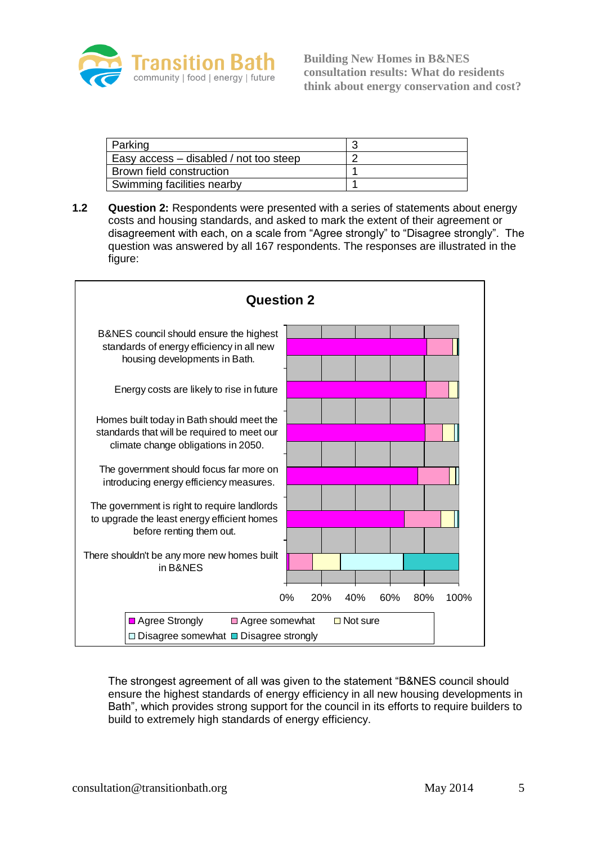

| Parking                                |  |
|----------------------------------------|--|
| Easy access – disabled / not too steep |  |
| Brown field construction               |  |
| Swimming facilities nearby             |  |

**1.2 Question 2:** Respondents were presented with a series of statements about energy costs and housing standards, and asked to mark the extent of their agreement or disagreement with each, on a scale from "Agree strongly" to "Disagree strongly". The question was answered by all 167 respondents. The responses are illustrated in the figure:



The strongest agreement of all was given to the statement "B&NES council should ensure the highest standards of energy efficiency in all new housing developments in Bath", which provides strong support for the council in its efforts to require builders to build to extremely high standards of energy efficiency.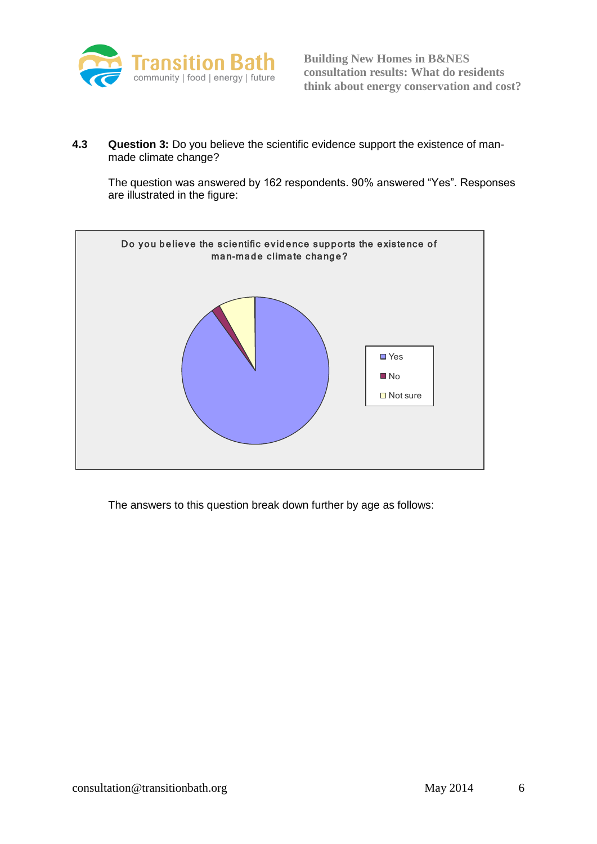

**4.3 Question 3:** Do you believe the scientific evidence support the existence of manmade climate change?

The question was answered by 162 respondents. 90% answered "Yes". Responses are illustrated in the figure:



The answers to this question break down further by age as follows: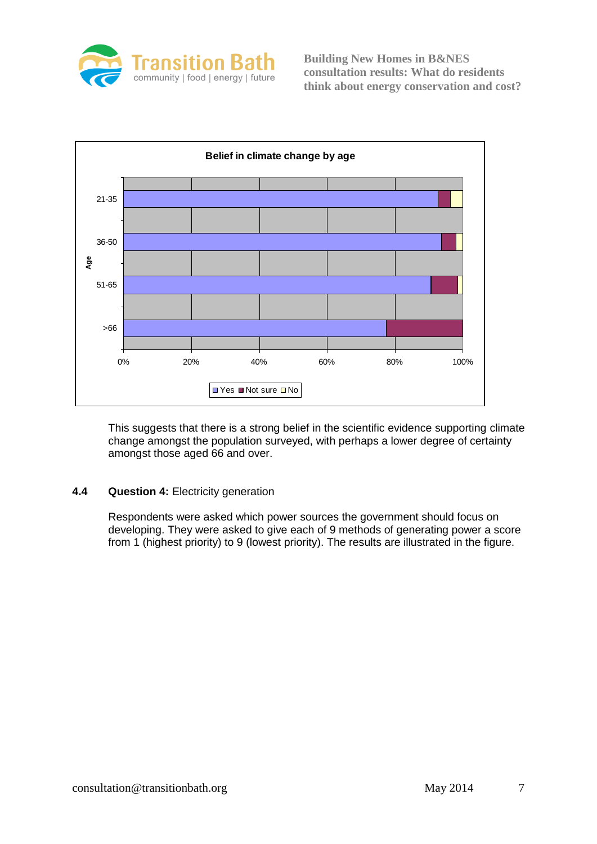



This suggests that there is a strong belief in the scientific evidence supporting climate change amongst the population surveyed, with perhaps a lower degree of certainty amongst those aged 66 and over.

## **4.4 Question 4:** Electricity generation

Respondents were asked which power sources the government should focus on developing. They were asked to give each of 9 methods of generating power a score from 1 (highest priority) to 9 (lowest priority). The results are illustrated in the figure.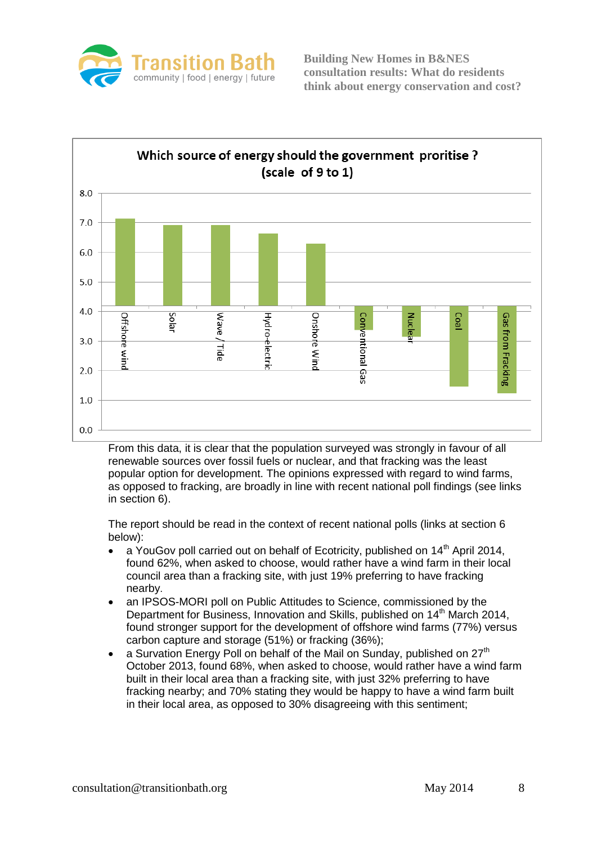



From this data, it is clear that the population surveyed was strongly in favour of all renewable sources over fossil fuels or nuclear, and that fracking was the least popular option for development. The opinions expressed with regard to wind farms, as opposed to fracking, are broadly in line with recent national poll findings (see links in section 6).

The report should be read in the context of recent national polls (links at section 6 below):

- a YouGov poll carried out on behalf of Ecotricity, published on 14<sup>th</sup> April 2014, found 62%, when asked to choose, would rather have a wind farm in their local council area than a fracking site, with just 19% preferring to have fracking nearby.
- an IPSOS-MORI poll on Public Attitudes to Science, commissioned by the Department for Business, Innovation and Skills, published on 14<sup>th</sup> March 2014, found stronger support for the development of offshore wind farms (77%) versus carbon capture and storage (51%) or fracking (36%);
- a Survation Energy Poll on behalf of the Mail on Sunday, published on  $27<sup>th</sup>$ October 2013, found 68%, when asked to choose, would rather have a wind farm built in their local area than a fracking site, with just 32% preferring to have fracking nearby; and 70% stating they would be happy to have a wind farm built in their local area, as opposed to 30% disagreeing with this sentiment;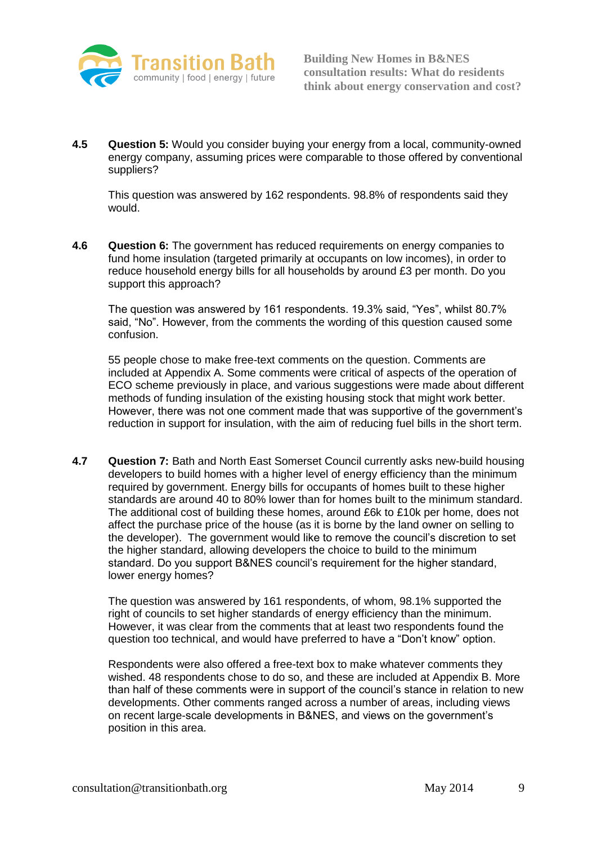

**4.5 Question 5:** Would you consider buying your energy from a local, community-owned energy company, assuming prices were comparable to those offered by conventional suppliers?

This question was answered by 162 respondents. 98.8% of respondents said they would.

**4.6 Question 6:** The government has reduced requirements on energy companies to fund home insulation (targeted primarily at occupants on low incomes), in order to reduce household energy bills for all households by around £3 per month. Do you support this approach?

The question was answered by 161 respondents. 19.3% said, "Yes", whilst 80.7% said, "No". However, from the comments the wording of this question caused some confusion.

55 people chose to make free-text comments on the question. Comments are included at Appendix A. Some comments were critical of aspects of the operation of ECO scheme previously in place, and various suggestions were made about different methods of funding insulation of the existing housing stock that might work better. However, there was not one comment made that was supportive of the government's reduction in support for insulation, with the aim of reducing fuel bills in the short term.

**4.7 Question 7:** Bath and North East Somerset Council currently asks new-build housing developers to build homes with a higher level of energy efficiency than the minimum required by government. Energy bills for occupants of homes built to these higher standards are around 40 to 80% lower than for homes built to the minimum standard. The additional cost of building these homes, around £6k to £10k per home, does not affect the purchase price of the house (as it is borne by the land owner on selling to the developer). The government would like to remove the council's discretion to set the higher standard, allowing developers the choice to build to the minimum standard. Do you support B&NES council's requirement for the higher standard, lower energy homes?

The question was answered by 161 respondents, of whom, 98.1% supported the right of councils to set higher standards of energy efficiency than the minimum. However, it was clear from the comments that at least two respondents found the question too technical, and would have preferred to have a "Don't know" option.

Respondents were also offered a free-text box to make whatever comments they wished. 48 respondents chose to do so, and these are included at Appendix B. More than half of these comments were in support of the council's stance in relation to new developments. Other comments ranged across a number of areas, including views on recent large-scale developments in B&NES, and views on the government's position in this area.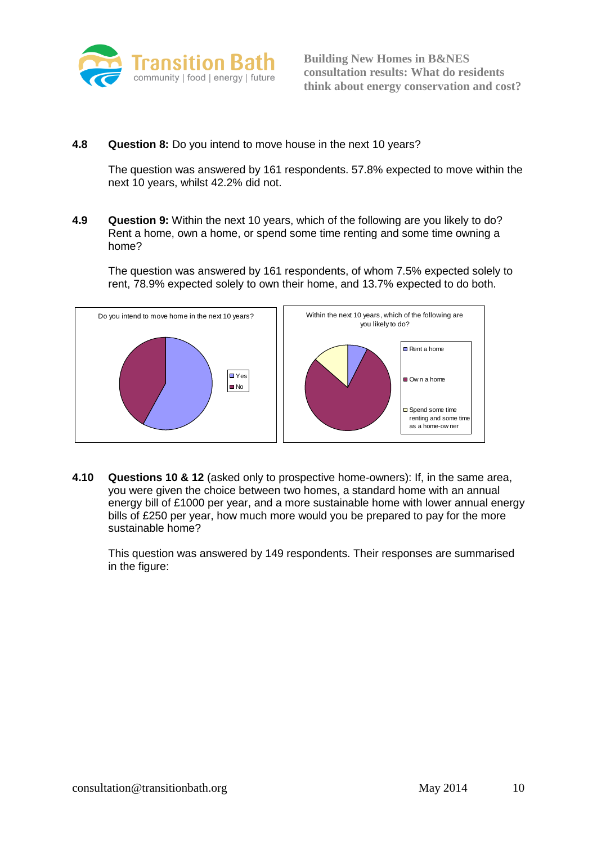

**4.8 Question 8:** Do you intend to move house in the next 10 years?

The question was answered by 161 respondents. 57.8% expected to move within the next 10 years, whilst 42.2% did not.

**4.9 Question 9:** Within the next 10 years, which of the following are you likely to do? Rent a home, own a home, or spend some time renting and some time owning a home?

The question was answered by 161 respondents, of whom 7.5% expected solely to rent, 78.9% expected solely to own their home, and 13.7% expected to do both.



**4.10 Questions 10 & 12** (asked only to prospective home-owners): If, in the same area, you were given the choice between two homes, a standard home with an annual energy bill of £1000 per year, and a more sustainable home with lower annual energy bills of £250 per year, how much more would you be prepared to pay for the more sustainable home?

This question was answered by 149 respondents. Their responses are summarised in the figure: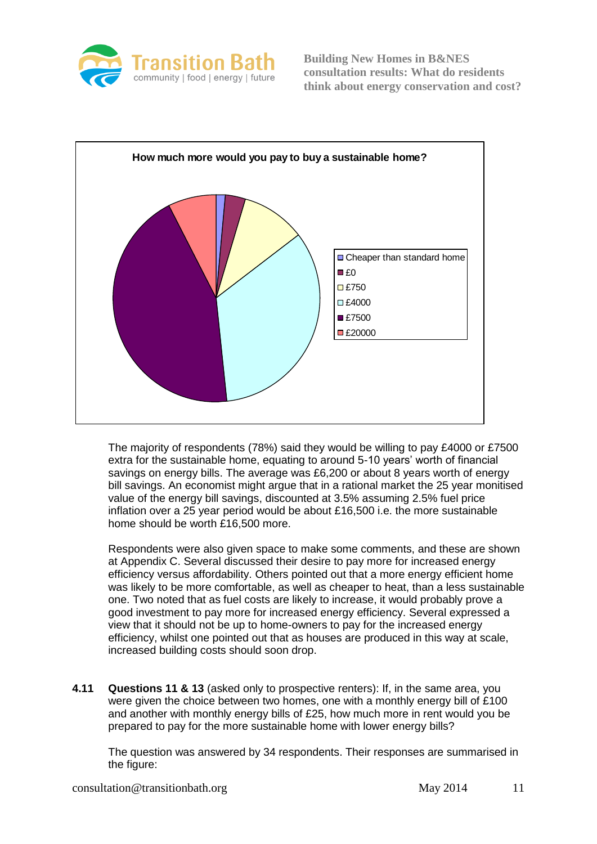



The majority of respondents (78%) said they would be willing to pay £4000 or £7500 extra for the sustainable home, equating to around 5-10 years' worth of financial savings on energy bills. The average was £6,200 or about 8 years worth of energy bill savings. An economist might argue that in a rational market the 25 year monitised value of the energy bill savings, discounted at 3.5% assuming 2.5% fuel price inflation over a 25 year period would be about £16,500 i.e. the more sustainable home should be worth £16,500 more.

Respondents were also given space to make some comments, and these are shown at Appendix C. Several discussed their desire to pay more for increased energy efficiency versus affordability. Others pointed out that a more energy efficient home was likely to be more comfortable, as well as cheaper to heat, than a less sustainable one. Two noted that as fuel costs are likely to increase, it would probably prove a good investment to pay more for increased energy efficiency. Several expressed a view that it should not be up to home-owners to pay for the increased energy efficiency, whilst one pointed out that as houses are produced in this way at scale, increased building costs should soon drop.

**4.11 Questions 11 & 13** (asked only to prospective renters): If, in the same area, you were given the choice between two homes, one with a monthly energy bill of £100 and another with monthly energy bills of £25, how much more in rent would you be prepared to pay for the more sustainable home with lower energy bills?

The question was answered by 34 respondents. Their responses are summarised in the figure: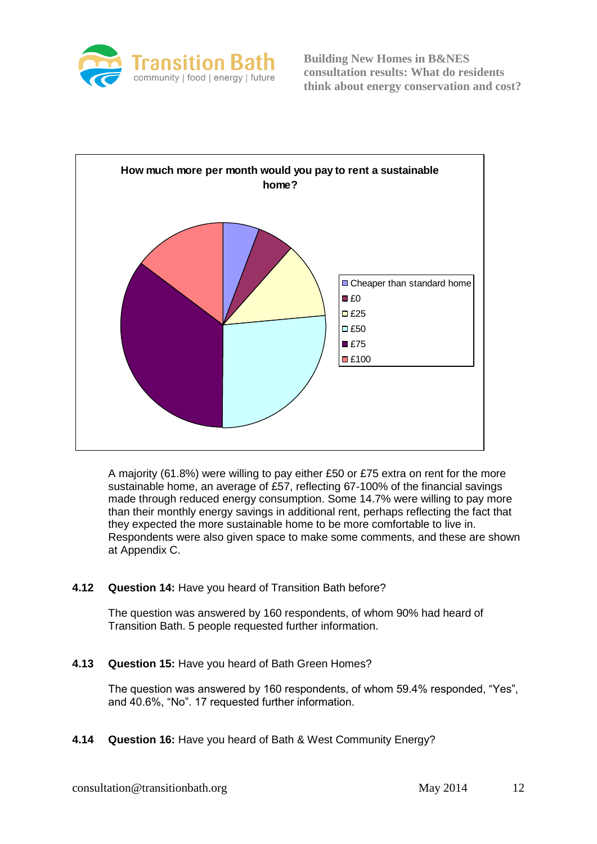



A majority (61.8%) were willing to pay either £50 or £75 extra on rent for the more sustainable home, an average of £57, reflecting 67-100% of the financial savings made through reduced energy consumption. Some 14.7% were willing to pay more than their monthly energy savings in additional rent, perhaps reflecting the fact that they expected the more sustainable home to be more comfortable to live in. Respondents were also given space to make some comments, and these are shown at Appendix C.

#### **4.12 Question 14:** Have you heard of Transition Bath before?

The question was answered by 160 respondents, of whom 90% had heard of Transition Bath. 5 people requested further information.

**4.13 Question 15:** Have you heard of Bath Green Homes?

The question was answered by 160 respondents, of whom 59.4% responded, "Yes", and 40.6%, "No". 17 requested further information.

**4.14 Question 16:** Have you heard of Bath & West Community Energy?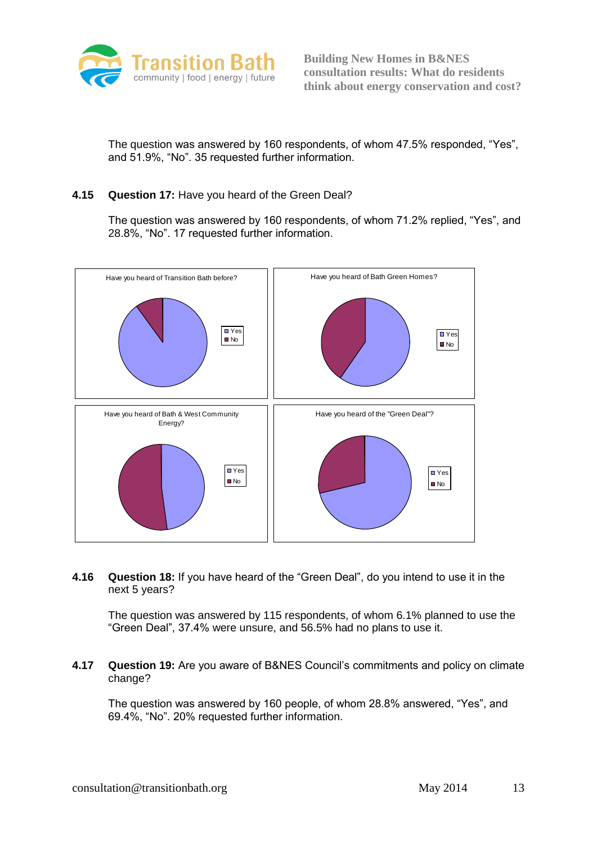

The question was answered by 160 respondents, of whom 47.5% responded, "Yes", and 51.9%, "No". 35 requested further information.

#### **4.15 Question 17:** Have you heard of the Green Deal?

The question was answered by 160 respondents, of whom 71.2% replied, "Yes", and 28.8%, "No". 17 requested further information.



**4.16 Question 18:** If you have heard of the "Green Deal", do you intend to use it in the next 5 years?

The question was answered by 115 respondents, of whom 6.1% planned to use the "Green Deal", 37.4% were unsure, and 56.5% had no plans to use it.

**4.17 Question 19:** Are you aware of B&NES Council's commitments and policy on climate change?

The question was answered by 160 people, of whom 28.8% answered, "Yes", and 69.4%, "No". 20% requested further information.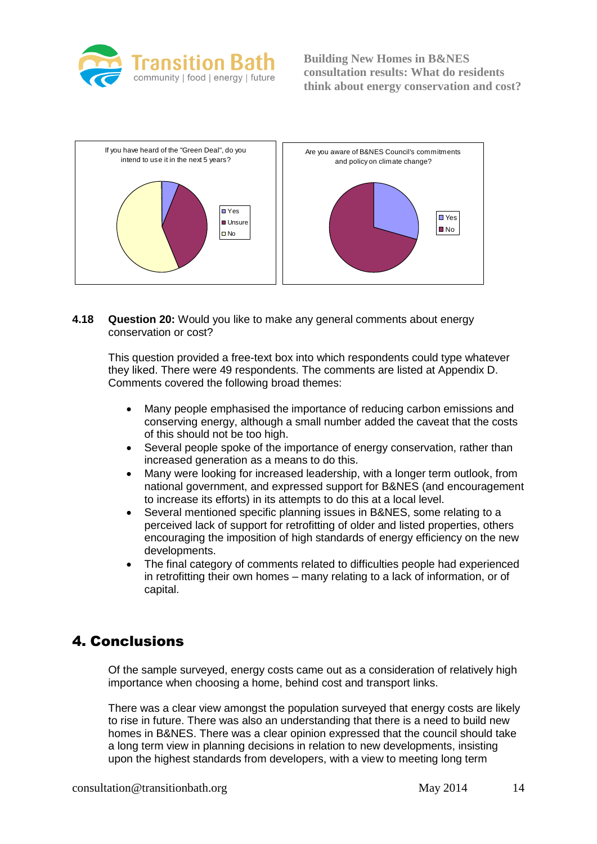



**4.18 Question 20:** Would you like to make any general comments about energy conservation or cost?

This question provided a free-text box into which respondents could type whatever they liked. There were 49 respondents. The comments are listed at Appendix D. Comments covered the following broad themes:

- Many people emphasised the importance of reducing carbon emissions and conserving energy, although a small number added the caveat that the costs of this should not be too high.
- Several people spoke of the importance of energy conservation, rather than increased generation as a means to do this.
- Many were looking for increased leadership, with a longer term outlook, from national government, and expressed support for B&NES (and encouragement to increase its efforts) in its attempts to do this at a local level.
- Several mentioned specific planning issues in B&NES, some relating to a perceived lack of support for retrofitting of older and listed properties, others encouraging the imposition of high standards of energy efficiency on the new developments.
- The final category of comments related to difficulties people had experienced in retrofitting their own homes – many relating to a lack of information, or of capital.

# 4. Conclusions

Of the sample surveyed, energy costs came out as a consideration of relatively high importance when choosing a home, behind cost and transport links.

There was a clear view amongst the population surveyed that energy costs are likely to rise in future. There was also an understanding that there is a need to build new homes in B&NES. There was a clear opinion expressed that the council should take a long term view in planning decisions in relation to new developments, insisting upon the highest standards from developers, with a view to meeting long term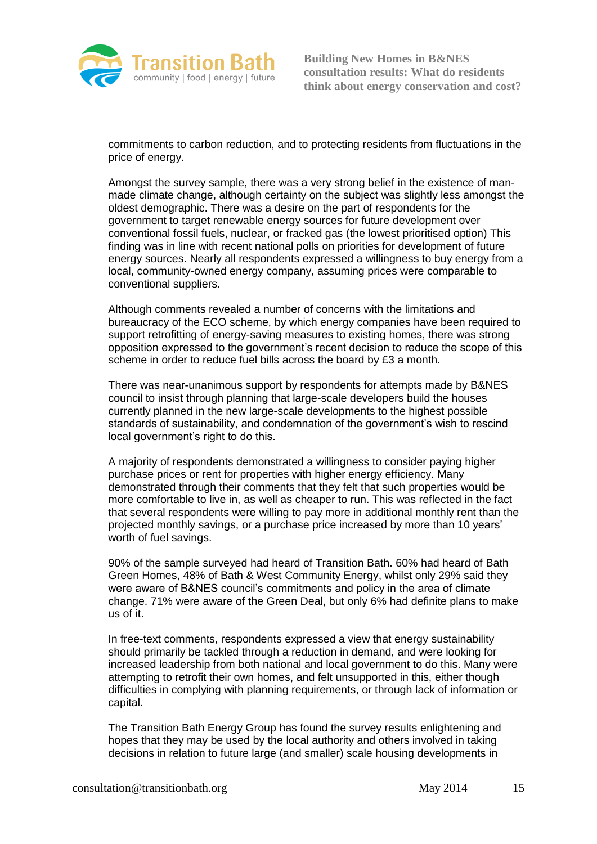

commitments to carbon reduction, and to protecting residents from fluctuations in the price of energy.

Amongst the survey sample, there was a very strong belief in the existence of manmade climate change, although certainty on the subject was slightly less amongst the oldest demographic. There was a desire on the part of respondents for the government to target renewable energy sources for future development over conventional fossil fuels, nuclear, or fracked gas (the lowest prioritised option) This finding was in line with recent national polls on priorities for development of future energy sources. Nearly all respondents expressed a willingness to buy energy from a local, community-owned energy company, assuming prices were comparable to conventional suppliers.

Although comments revealed a number of concerns with the limitations and bureaucracy of the ECO scheme, by which energy companies have been required to support retrofitting of energy-saving measures to existing homes, there was strong opposition expressed to the government's recent decision to reduce the scope of this scheme in order to reduce fuel bills across the board by £3 a month.

There was near-unanimous support by respondents for attempts made by B&NES council to insist through planning that large-scale developers build the houses currently planned in the new large-scale developments to the highest possible standards of sustainability, and condemnation of the government's wish to rescind local government's right to do this.

A majority of respondents demonstrated a willingness to consider paying higher purchase prices or rent for properties with higher energy efficiency. Many demonstrated through their comments that they felt that such properties would be more comfortable to live in, as well as cheaper to run. This was reflected in the fact that several respondents were willing to pay more in additional monthly rent than the projected monthly savings, or a purchase price increased by more than 10 years' worth of fuel savings.

90% of the sample surveyed had heard of Transition Bath. 60% had heard of Bath Green Homes, 48% of Bath & West Community Energy, whilst only 29% said they were aware of B&NES council's commitments and policy in the area of climate change. 71% were aware of the Green Deal, but only 6% had definite plans to make us of it.

In free-text comments, respondents expressed a view that energy sustainability should primarily be tackled through a reduction in demand, and were looking for increased leadership from both national and local government to do this. Many were attempting to retrofit their own homes, and felt unsupported in this, either though difficulties in complying with planning requirements, or through lack of information or capital.

The Transition Bath Energy Group has found the survey results enlightening and hopes that they may be used by the local authority and others involved in taking decisions in relation to future large (and smaller) scale housing developments in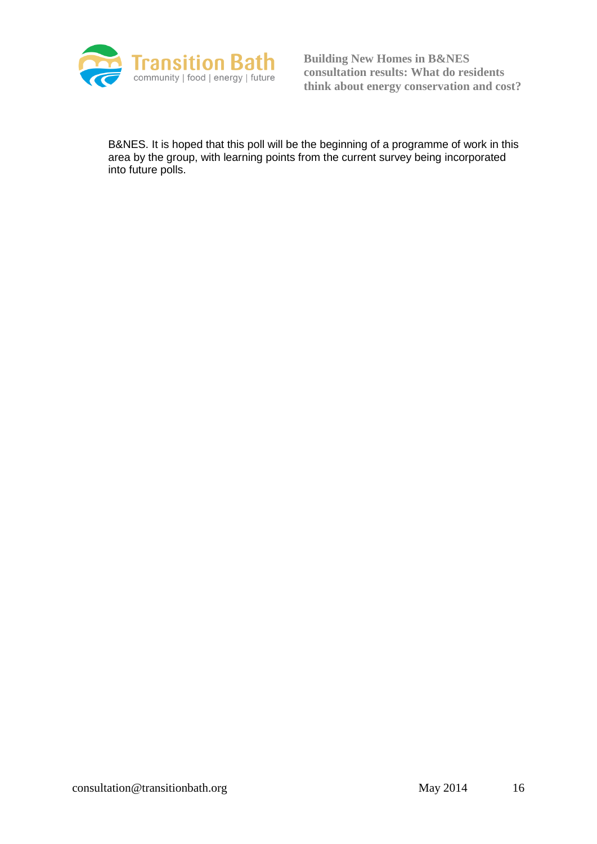

B&NES. It is hoped that this poll will be the beginning of a programme of work in this area by the group, with learning points from the current survey being incorporated into future polls.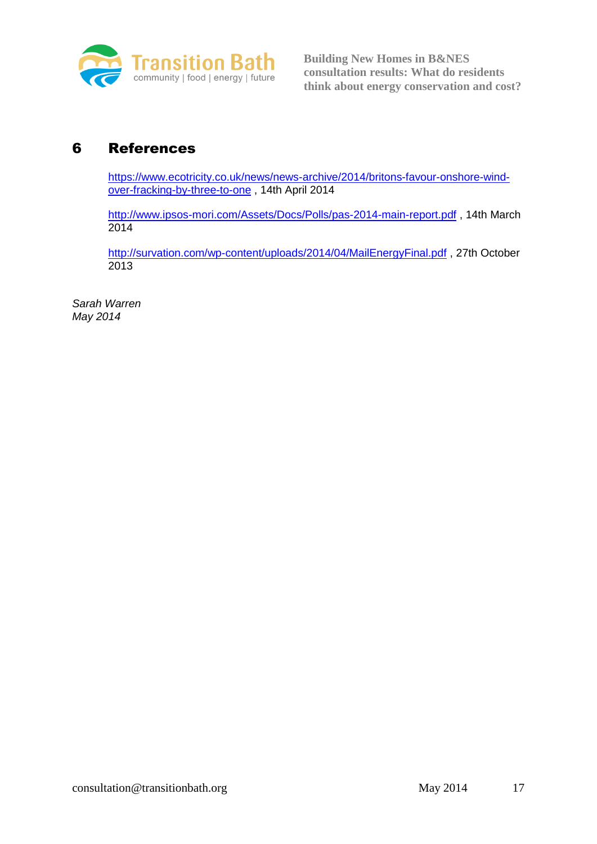

# 6 References

[https://www.ecotricity.co.uk/news/news-archive/2014/britons-favour-onshore-wind](https://www.ecotricity.co.uk/news/news-archive/2014/britons-favour-onshore-wind-over-fracking-by-three-to-one)[over-fracking-by-three-to-one](https://www.ecotricity.co.uk/news/news-archive/2014/britons-favour-onshore-wind-over-fracking-by-three-to-one) , 14th April 2014

<http://www.ipsos-mori.com/Assets/Docs/Polls/pas-2014-main-report.pdf> , 14th March 2014

<http://survation.com/wp-content/uploads/2014/04/MailEnergyFinal.pdf> , 27th October 2013

*Sarah Warren May 2014*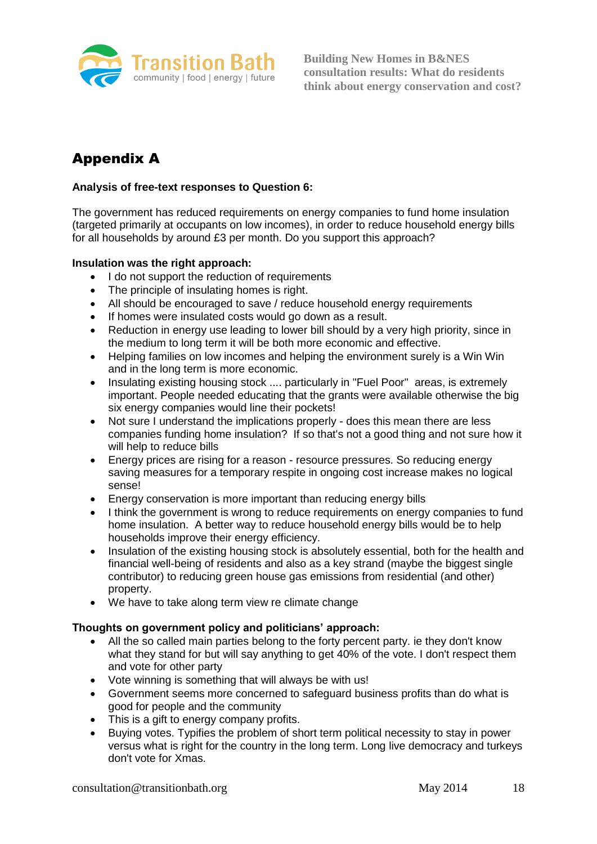

# Appendix A

## **Analysis of free-text responses to Question 6:**

The government has reduced requirements on energy companies to fund home insulation (targeted primarily at occupants on low incomes), in order to reduce household energy bills for all households by around £3 per month. Do you support this approach?

#### **Insulation was the right approach:**

- I do not support the reduction of requirements
- The principle of insulating homes is right.
- All should be encouraged to save / reduce household energy requirements
- If homes were insulated costs would go down as a result.
- Reduction in energy use leading to lower bill should by a very high priority, since in the medium to long term it will be both more economic and effective.
- Helping families on low incomes and helping the environment surely is a Win Win and in the long term is more economic.
- Insulating existing housing stock .... particularly in "Fuel Poor" areas, is extremely important. People needed educating that the grants were available otherwise the big six energy companies would line their pockets!
- Not sure I understand the implications properly does this mean there are less companies funding home insulation? If so that's not a good thing and not sure how it will help to reduce bills
- Energy prices are rising for a reason resource pressures. So reducing energy saving measures for a temporary respite in ongoing cost increase makes no logical sense!
- Energy conservation is more important than reducing energy bills
- I think the government is wrong to reduce requirements on energy companies to fund home insulation. A better way to reduce household energy bills would be to help households improve their energy efficiency.
- Insulation of the existing housing stock is absolutely essential, both for the health and financial well-being of residents and also as a key strand (maybe the biggest single contributor) to reducing green house gas emissions from residential (and other) property.
- We have to take along term view re climate change

#### **Thoughts on government policy and politicians' approach:**

- All the so called main parties belong to the forty percent party. ie they don't know what they stand for but will say anything to get 40% of the vote. I don't respect them and vote for other party
- Vote winning is something that will always be with us!
- Government seems more concerned to safeguard business profits than do what is good for people and the community
- This is a gift to energy company profits.
- Buying votes. Typifies the problem of short term political necessity to stay in power versus what is right for the country in the long term. Long live democracy and turkeys don't vote for Xmas.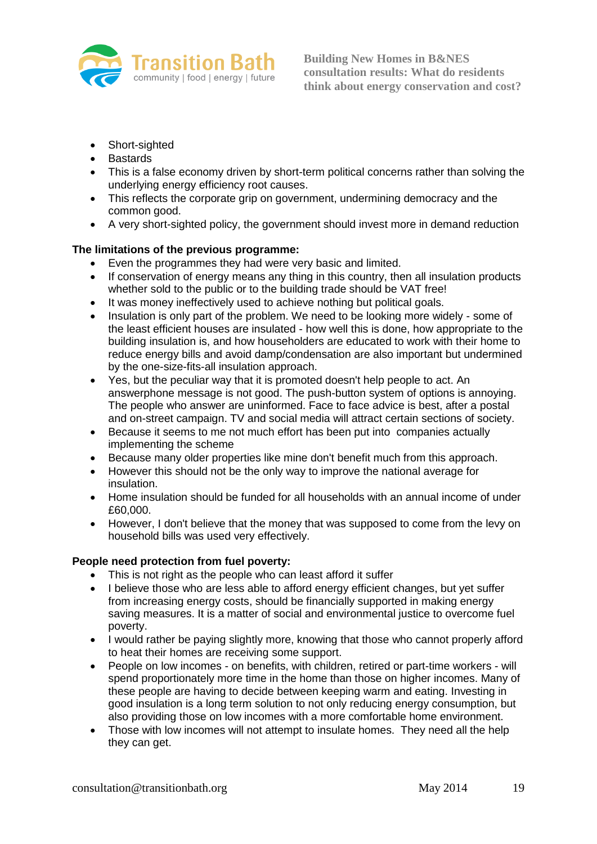

- Short-sighted
- Bastards
- This is a false economy driven by short-term political concerns rather than solving the underlying energy efficiency root causes.
- This reflects the corporate grip on government, undermining democracy and the common good.
- A very short-sighted policy, the government should invest more in demand reduction

## **The limitations of the previous programme:**

- Even the programmes they had were very basic and limited.
- If conservation of energy means any thing in this country, then all insulation products whether sold to the public or to the building trade should be VAT free!
- It was money ineffectively used to achieve nothing but political goals.
- Insulation is only part of the problem. We need to be looking more widely some of the least efficient houses are insulated - how well this is done, how appropriate to the building insulation is, and how householders are educated to work with their home to reduce energy bills and avoid damp/condensation are also important but undermined by the one-size-fits-all insulation approach.
- Yes, but the peculiar way that it is promoted doesn't help people to act. An answerphone message is not good. The push-button system of options is annoying. The people who answer are uninformed. Face to face advice is best, after a postal and on-street campaign. TV and social media will attract certain sections of society.
- Because it seems to me not much effort has been put into companies actually implementing the scheme
- Because many older properties like mine don't benefit much from this approach.
- However this should not be the only way to improve the national average for insulation.
- Home insulation should be funded for all households with an annual income of under £60,000.
- However, I don't believe that the money that was supposed to come from the levy on household bills was used very effectively.

#### **People need protection from fuel poverty:**

- This is not right as the people who can least afford it suffer
- I believe those who are less able to afford energy efficient changes, but yet suffer from increasing energy costs, should be financially supported in making energy saving measures. It is a matter of social and environmental justice to overcome fuel poverty.
- I would rather be paying slightly more, knowing that those who cannot properly afford to heat their homes are receiving some support.
- People on low incomes on benefits, with children, retired or part-time workers will spend proportionately more time in the home than those on higher incomes. Many of these people are having to decide between keeping warm and eating. Investing in good insulation is a long term solution to not only reducing energy consumption, but also providing those on low incomes with a more comfortable home environment.
- Those with low incomes will not attempt to insulate homes. They need all the help they can get.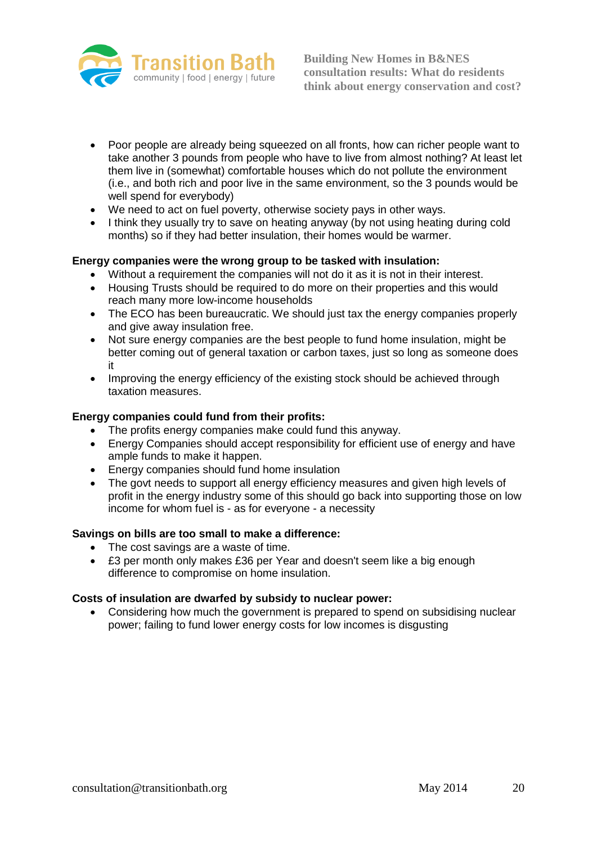

- Poor people are already being squeezed on all fronts, how can richer people want to take another 3 pounds from people who have to live from almost nothing? At least let them live in (somewhat) comfortable houses which do not pollute the environment (i.e., and both rich and poor live in the same environment, so the 3 pounds would be well spend for everybody)
- We need to act on fuel poverty, otherwise society pays in other ways.
- I think they usually try to save on heating anyway (by not using heating during cold months) so if they had better insulation, their homes would be warmer.

## **Energy companies were the wrong group to be tasked with insulation:**

- Without a requirement the companies will not do it as it is not in their interest.
- Housing Trusts should be required to do more on their properties and this would reach many more low-income households
- The ECO has been bureaucratic. We should just tax the energy companies properly and give away insulation free.
- Not sure energy companies are the best people to fund home insulation, might be better coming out of general taxation or carbon taxes, just so long as someone does it
- Improving the energy efficiency of the existing stock should be achieved through taxation measures.

#### **Energy companies could fund from their profits:**

- The profits energy companies make could fund this anyway.
- Energy Companies should accept responsibility for efficient use of energy and have ample funds to make it happen.
- Energy companies should fund home insulation
- The govt needs to support all energy efficiency measures and given high levels of profit in the energy industry some of this should go back into supporting those on low income for whom fuel is - as for everyone - a necessity

#### **Savings on bills are too small to make a difference:**

- The cost savings are a waste of time.
- £3 per month only makes £36 per Year and doesn't seem like a big enough difference to compromise on home insulation.

#### **Costs of insulation are dwarfed by subsidy to nuclear power:**

 Considering how much the government is prepared to spend on subsidising nuclear power; failing to fund lower energy costs for low incomes is disgusting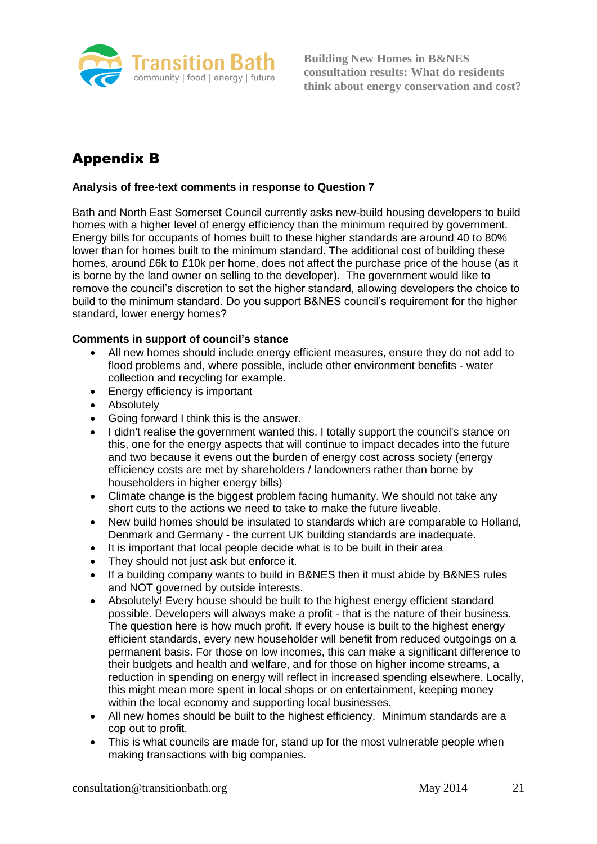

# Appendix B

## **Analysis of free-text comments in response to Question 7**

Bath and North East Somerset Council currently asks new-build housing developers to build homes with a higher level of energy efficiency than the minimum required by government. Energy bills for occupants of homes built to these higher standards are around 40 to 80% lower than for homes built to the minimum standard. The additional cost of building these homes, around £6k to £10k per home, does not affect the purchase price of the house (as it is borne by the land owner on selling to the developer). The government would like to remove the council's discretion to set the higher standard, allowing developers the choice to build to the minimum standard. Do you support B&NES council's requirement for the higher standard, lower energy homes?

#### **Comments in support of council's stance**

- All new homes should include energy efficient measures, ensure they do not add to flood problems and, where possible, include other environment benefits - water collection and recycling for example.
- Energy efficiency is important
- Absolutely
- Going forward I think this is the answer.
- I didn't realise the government wanted this. I totally support the council's stance on this, one for the energy aspects that will continue to impact decades into the future and two because it evens out the burden of energy cost across society (energy efficiency costs are met by shareholders / landowners rather than borne by householders in higher energy bills)
- Climate change is the biggest problem facing humanity. We should not take any short cuts to the actions we need to take to make the future liveable.
- New build homes should be insulated to standards which are comparable to Holland, Denmark and Germany - the current UK building standards are inadequate.
- It is important that local people decide what is to be built in their area
- They should not just ask but enforce it.
- If a building company wants to build in B&NES then it must abide by B&NES rules and NOT governed by outside interests.
- Absolutely! Every house should be built to the highest energy efficient standard possible. Developers will always make a profit - that is the nature of their business. The question here is how much profit. If every house is built to the highest energy efficient standards, every new householder will benefit from reduced outgoings on a permanent basis. For those on low incomes, this can make a significant difference to their budgets and health and welfare, and for those on higher income streams, a reduction in spending on energy will reflect in increased spending elsewhere. Locally, this might mean more spent in local shops or on entertainment, keeping money within the local economy and supporting local businesses.
- All new homes should be built to the highest efficiency. Minimum standards are a cop out to profit.
- This is what councils are made for, stand up for the most vulnerable people when making transactions with big companies.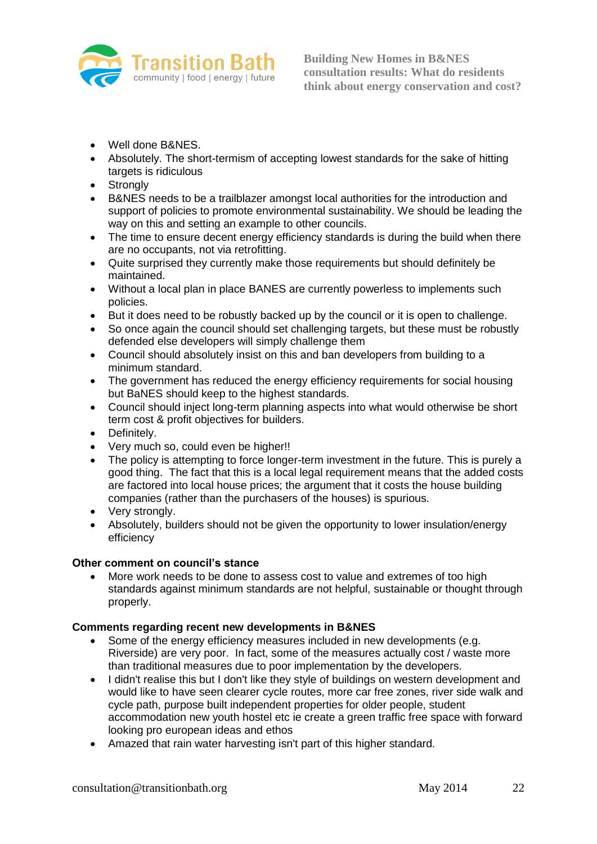

- Well done B&NES.
- Absolutely. The short-termism of accepting lowest standards for the sake of hitting targets is ridiculous
- Strongly
- B&NES needs to be a trailblazer amongst local authorities for the introduction and support of policies to promote environmental sustainability. We should be leading the way on this and setting an example to other councils.
- The time to ensure decent energy efficiency standards is during the build when there are no occupants, not via retrofitting.
- Quite surprised they currently make those requirements but should definitely be maintained.
- Without a local plan in place BANES are currently powerless to implements such policies.
- But it does need to be robustly backed up by the council or it is open to challenge.
- So once again the council should set challenging targets, but these must be robustly defended else developers will simply challenge them
- Council should absolutely insist on this and ban developers from building to a minimum standard.
- The government has reduced the energy efficiency requirements for social housing but BaNES should keep to the highest standards.
- Council should inject long-term planning aspects into what would otherwise be short term cost & profit objectives for builders.
- Definitely.
- Very much so, could even be higher!!
- The policy is attempting to force longer-term investment in the future. This is purely a good thing. The fact that this is a local legal requirement means that the added costs are factored into local house prices; the argument that it costs the house building companies (rather than the purchasers of the houses) is spurious.
- Very strongly.
- Absolutely, builders should not be given the opportunity to lower insulation/energy efficiency

#### **Other comment on council's stance**

 More work needs to be done to assess cost to value and extremes of too high standards against minimum standards are not helpful, sustainable or thought through properly.

#### **Comments regarding recent new developments in B&NES**

- Some of the energy efficiency measures included in new developments (e.g. Riverside) are very poor. In fact, some of the measures actually cost / waste more than traditional measures due to poor implementation by the developers.
- I didn't realise this but I don't like they style of buildings on western development and would like to have seen clearer cycle routes, more car free zones, river side walk and cycle path, purpose built independent properties for older people, student accommodation new youth hostel etc ie create a green traffic free space with forward looking pro european ideas and ethos
- Amazed that rain water harvesting isn't part of this higher standard.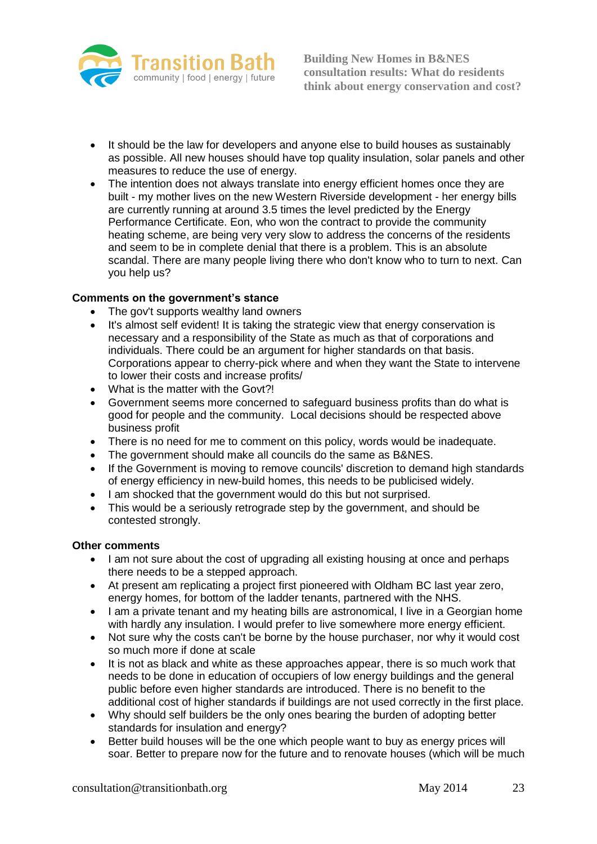

- It should be the law for developers and anyone else to build houses as sustainably as possible. All new houses should have top quality insulation, solar panels and other measures to reduce the use of energy.
- The intention does not always translate into energy efficient homes once they are built - my mother lives on the new Western Riverside development - her energy bills are currently running at around 3.5 times the level predicted by the Energy Performance Certificate. Eon, who won the contract to provide the community heating scheme, are being very very slow to address the concerns of the residents and seem to be in complete denial that there is a problem. This is an absolute scandal. There are many people living there who don't know who to turn to next. Can you help us?

#### **Comments on the government's stance**

- The gov't supports wealthy land owners
- It's almost self evident! It is taking the strategic view that energy conservation is necessary and a responsibility of the State as much as that of corporations and individuals. There could be an argument for higher standards on that basis. Corporations appear to cherry-pick where and when they want the State to intervene to lower their costs and increase profits/
- What is the matter with the Govt?!
- Government seems more concerned to safeguard business profits than do what is good for people and the community. Local decisions should be respected above business profit
- There is no need for me to comment on this policy, words would be inadequate.
- The government should make all councils do the same as B&NES.
- If the Government is moving to remove councils' discretion to demand high standards of energy efficiency in new-build homes, this needs to be publicised widely.
- I am shocked that the government would do this but not surprised.
- This would be a seriously retrograde step by the government, and should be contested strongly.

#### **Other comments**

- I am not sure about the cost of upgrading all existing housing at once and perhaps there needs to be a stepped approach.
- At present am replicating a project first pioneered with Oldham BC last year zero, energy homes, for bottom of the ladder tenants, partnered with the NHS.
- I am a private tenant and my heating bills are astronomical, I live in a Georgian home with hardly any insulation. I would prefer to live somewhere more energy efficient.
- Not sure why the costs can't be borne by the house purchaser, nor why it would cost so much more if done at scale
- It is not as black and white as these approaches appear, there is so much work that needs to be done in education of occupiers of low energy buildings and the general public before even higher standards are introduced. There is no benefit to the additional cost of higher standards if buildings are not used correctly in the first place.
- Why should self builders be the only ones bearing the burden of adopting better standards for insulation and energy?
- Better build houses will be the one which people want to buy as energy prices will soar. Better to prepare now for the future and to renovate houses (which will be much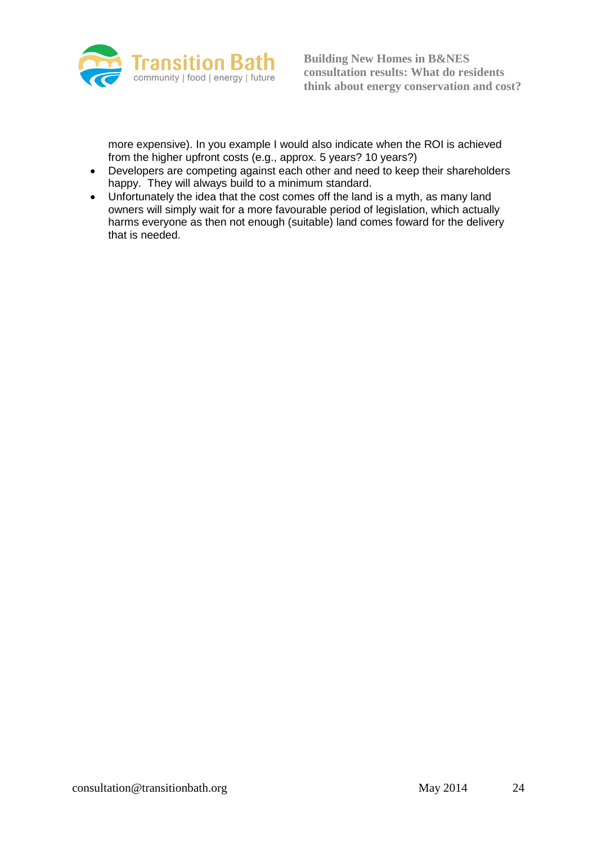

more expensive). In you example I would also indicate when the ROI is achieved from the higher upfront costs (e.g., approx. 5 years? 10 years?)

- Developers are competing against each other and need to keep their shareholders happy. They will always build to a minimum standard.
- Unfortunately the idea that the cost comes off the land is a myth, as many land owners will simply wait for a more favourable period of legislation, which actually harms everyone as then not enough (suitable) land comes foward for the delivery that is needed.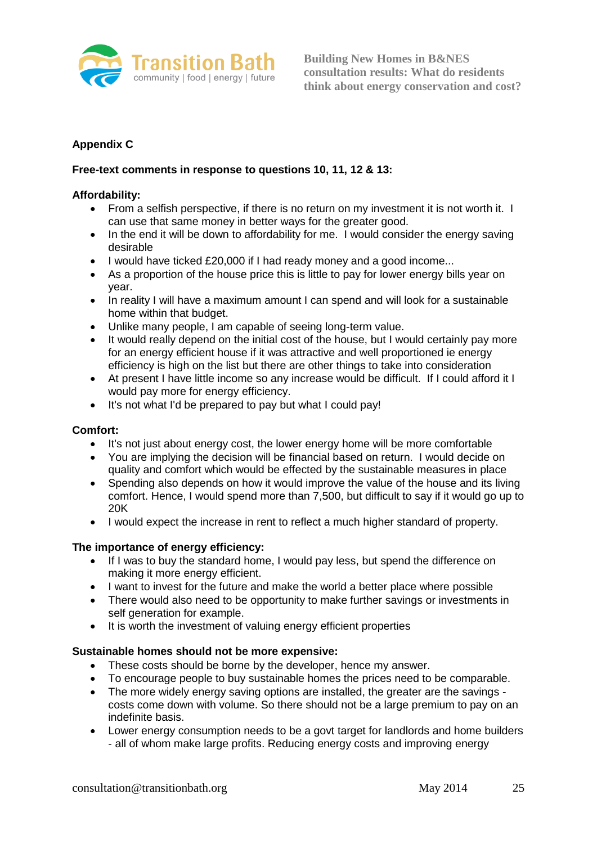

# **Appendix C**

## **Free-text comments in response to questions 10, 11, 12 & 13:**

#### **Affordability:**

- From a selfish perspective, if there is no return on my investment it is not worth it. I can use that same money in better ways for the greater good.
- In the end it will be down to affordability for me. I would consider the energy saving desirable
- I would have ticked £20,000 if I had ready money and a good income...
- As a proportion of the house price this is little to pay for lower energy bills year on year.
- In reality I will have a maximum amount I can spend and will look for a sustainable home within that budget.
- Unlike many people, I am capable of seeing long-term value.
- It would really depend on the initial cost of the house, but I would certainly pay more for an energy efficient house if it was attractive and well proportioned ie energy efficiency is high on the list but there are other things to take into consideration
- At present I have little income so any increase would be difficult. If I could afford it I would pay more for energy efficiency.
- It's not what I'd be prepared to pay but what I could pay!

# **Comfort:**

- It's not just about energy cost, the lower energy home will be more comfortable
- You are implying the decision will be financial based on return. I would decide on quality and comfort which would be effected by the sustainable measures in place
- Spending also depends on how it would improve the value of the house and its living comfort. Hence, I would spend more than 7,500, but difficult to say if it would go up to 20K
- I would expect the increase in rent to reflect a much higher standard of property.

#### **The importance of energy efficiency:**

- If I was to buy the standard home, I would pay less, but spend the difference on making it more energy efficient.
- I want to invest for the future and make the world a better place where possible
- There would also need to be opportunity to make further savings or investments in self generation for example.
- It is worth the investment of valuing energy efficient properties

#### **Sustainable homes should not be more expensive:**

- These costs should be borne by the developer, hence my answer.
- To encourage people to buy sustainable homes the prices need to be comparable.
- The more widely energy saving options are installed, the greater are the savings costs come down with volume. So there should not be a large premium to pay on an indefinite basis.
- Lower energy consumption needs to be a govt target for landlords and home builders - all of whom make large profits. Reducing energy costs and improving energy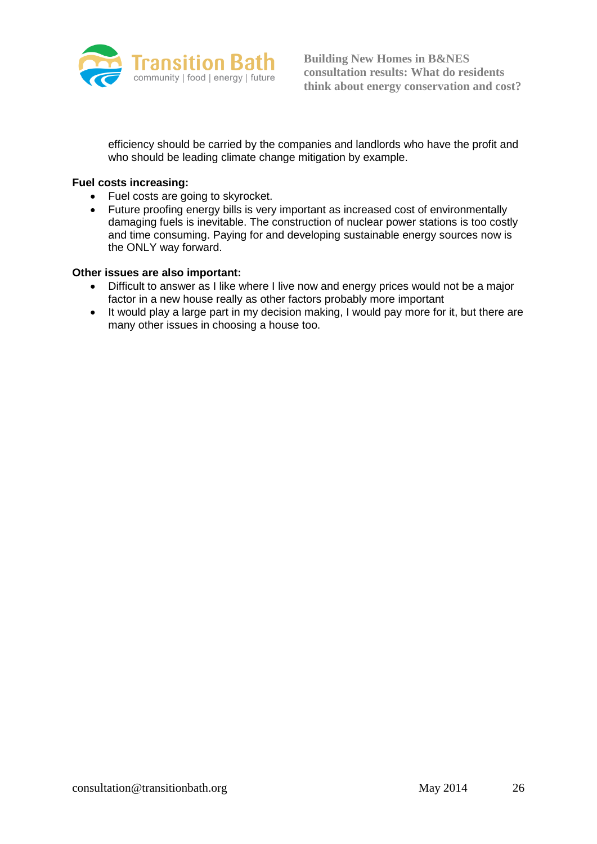

efficiency should be carried by the companies and landlords who have the profit and who should be leading climate change mitigation by example.

#### **Fuel costs increasing:**

- Fuel costs are going to skyrocket.
- Future proofing energy bills is very important as increased cost of environmentally damaging fuels is inevitable. The construction of nuclear power stations is too costly and time consuming. Paying for and developing sustainable energy sources now is the ONLY way forward.

#### **Other issues are also important:**

- Difficult to answer as I like where I live now and energy prices would not be a major factor in a new house really as other factors probably more important
- It would play a large part in my decision making, I would pay more for it, but there are many other issues in choosing a house too.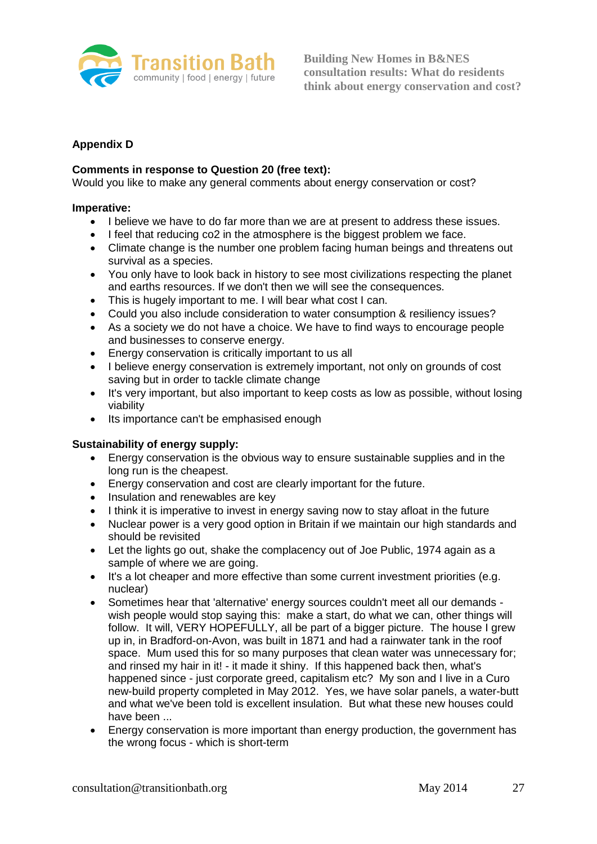

## **Appendix D**

#### **Comments in response to Question 20 (free text):**

Would you like to make any general comments about energy conservation or cost?

#### **Imperative:**

- I believe we have to do far more than we are at present to address these issues.
- I feel that reducing co2 in the atmosphere is the biggest problem we face.
- Climate change is the number one problem facing human beings and threatens out survival as a species.
- You only have to look back in history to see most civilizations respecting the planet and earths resources. If we don't then we will see the consequences.
- This is hugely important to me. I will bear what cost I can.
- Could you also include consideration to water consumption & resiliency issues?
- As a society we do not have a choice. We have to find ways to encourage people and businesses to conserve energy.
- Energy conservation is critically important to us all
- I believe energy conservation is extremely important, not only on grounds of cost saving but in order to tackle climate change
- It's very important, but also important to keep costs as low as possible, without losing viability
- Its importance can't be emphasised enough

#### **Sustainability of energy supply:**

- Energy conservation is the obvious way to ensure sustainable supplies and in the long run is the cheapest.
- Energy conservation and cost are clearly important for the future.
- Insulation and renewables are key
- I think it is imperative to invest in energy saving now to stay afloat in the future
- Nuclear power is a very good option in Britain if we maintain our high standards and should be revisited
- Let the lights go out, shake the complacency out of Joe Public, 1974 again as a sample of where we are going.
- It's a lot cheaper and more effective than some current investment priorities (e.g. nuclear)
- Sometimes hear that 'alternative' energy sources couldn't meet all our demands wish people would stop saying this: make a start, do what we can, other things will follow. It will, VERY HOPEFULLY, all be part of a bigger picture. The house I grew up in, in Bradford-on-Avon, was built in 1871 and had a rainwater tank in the roof space. Mum used this for so many purposes that clean water was unnecessary for; and rinsed my hair in it! - it made it shiny. If this happened back then, what's happened since - just corporate greed, capitalism etc? My son and I live in a Curo new-build property completed in May 2012. Yes, we have solar panels, a water-butt and what we've been told is excellent insulation. But what these new houses could have been ...
- Energy conservation is more important than energy production, the government has the wrong focus - which is short-term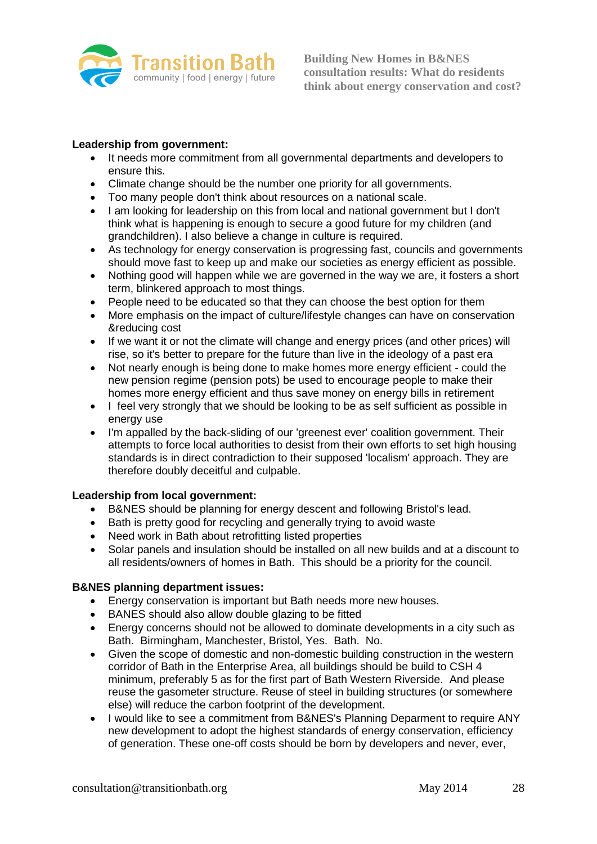

## **Leadership from government:**

- It needs more commitment from all governmental departments and developers to ensure this.
- Climate change should be the number one priority for all governments.
- Too many people don't think about resources on a national scale.
- I am looking for leadership on this from local and national government but I don't think what is happening is enough to secure a good future for my children (and grandchildren). I also believe a change in culture is required.
- As technology for energy conservation is progressing fast, councils and governments should move fast to keep up and make our societies as energy efficient as possible.
- Nothing good will happen while we are governed in the way we are, it fosters a short term, blinkered approach to most things.
- People need to be educated so that they can choose the best option for them
- More emphasis on the impact of culture/lifestyle changes can have on conservation &reducing cost
- If we want it or not the climate will change and energy prices (and other prices) will rise, so it's better to prepare for the future than live in the ideology of a past era
- Not nearly enough is being done to make homes more energy efficient could the new pension regime (pension pots) be used to encourage people to make their homes more energy efficient and thus save money on energy bills in retirement
- I feel very strongly that we should be looking to be as self sufficient as possible in energy use
- I'm appalled by the back-sliding of our 'greenest ever' coalition government. Their attempts to force local authorities to desist from their own efforts to set high housing standards is in direct contradiction to their supposed 'localism' approach. They are therefore doubly deceitful and culpable.

#### **Leadership from local government:**

- B&NES should be planning for energy descent and following Bristol's lead.
- Bath is pretty good for recycling and generally trying to avoid waste
- Need work in Bath about retrofitting listed properties
- Solar panels and insulation should be installed on all new builds and at a discount to all residents/owners of homes in Bath. This should be a priority for the council.

#### **B&NES planning department issues:**

- Energy conservation is important but Bath needs more new houses.
- BANES should also allow double glazing to be fitted
- Energy concerns should not be allowed to dominate developments in a city such as Bath. Birmingham, Manchester, Bristol, Yes. Bath. No.
- Given the scope of domestic and non-domestic building construction in the western corridor of Bath in the Enterprise Area, all buildings should be build to CSH 4 minimum, preferably 5 as for the first part of Bath Western Riverside. And please reuse the gasometer structure. Reuse of steel in building structures (or somewhere else) will reduce the carbon footprint of the development.
- I would like to see a commitment from B&NES's Planning Deparment to require ANY new development to adopt the highest standards of energy conservation, efficiency of generation. These one-off costs should be born by developers and never, ever,